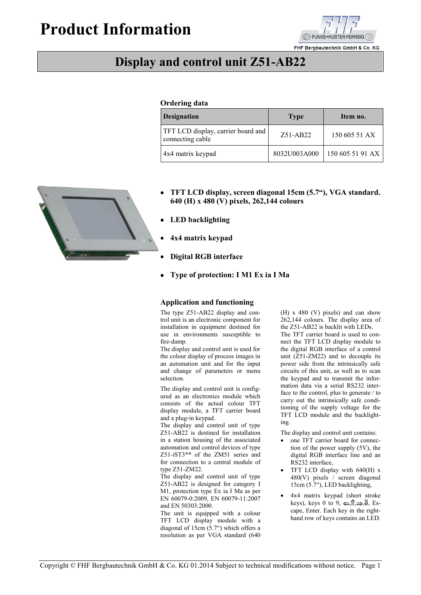# **Product Information**



FHF Bergbautechnik GmbH & Co. KG

## **Display and control unit Z51-AB22**

### **Ordering data**

| <b>Designation</b>                                     | <b>Type</b> | Item no.                        |
|--------------------------------------------------------|-------------|---------------------------------|
| TFT LCD display, carrier board and<br>connecting cable | Z51-AB22    | 150 605 51 AX                   |
| 4x4 matrix keypad                                      |             | 8032U003A000   150 605 51 91 AX |

- **TFT LCD display, screen diagonal 15cm (5.7"), VGA standard. 640 (H) x 480 (V) pixels, 262,144 colours**
- **LED backlighting**
- **4x4 matrix keypad**
- **Digital RGB interface**
- **Type of protection: I M1 Ex ia I Ma**

### **Application and functioning**

The type Z51-AB22 display and control unit is an electronic component for installation in equipment destined for use in environments susceptible to fire-damp.

The display and control unit is used for the colour display of process images in an automation unit and for the input and change of parameters or menu selection.

The display and control unit is configured as an electronics module which consists of the actual colour TFT display module, a TFT carrier board and a plug-in keypad.

The display and control unit of type Z51-AB22 is destined for installation in a station housing of the associated automation and control devices of type Z51-iST3\*\* of the ZM51 series and for connection to a central module of type Z51-ZM22.

The display and control unit of type Z51-AB22 is designed for category I M1, protection type Ex ia I Ma as per EN 60079-0:2009, EN 60079-11:2007 and EN 50303:2000.

The unit is equipped with a colour TFT LCD display module with a diagonal of 15cm (5.7") which offers a resolution as per VGA standard (640

(H) x 480 (V) pixels) and can show 262,144 colours. The display area of the Z51-AB22 is backlit with LEDs. The TFT carrier board is used to con nect the TFT LCD display module to the digital RGB interface of a control unit (Z51-ZM22) and to decouple its power side from the intrinsically safe circuits of this unit, as well as to scan the keypad and to transmit the infor mation data via a serial RS232 interface to the control, plus to generate / to carry out the intrinsically safe conditioning of the supply voltage for the TFT LCD module and the backlighting.

The display and control unit contains:

- one TFT carrier board for connection of the power supply (5V), the digital RGB interface line and an RS232 interface,
- TFT LCD display with 640(H) x 480(V) pixels / screen diagonal 15cm (5.7"), LED backlighting,
- 4x4 matrix keypad (short stroke keys), keys 0 to 9,  $\Leftarrow, \hat{\Pi}, \Rightarrow, \hat{\Psi}$ , Escape, Enter. Each key in the right hand row of keys contains an LED.

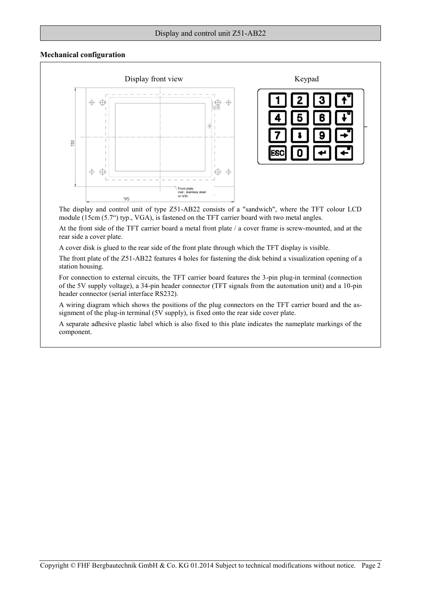#### **Mechanical configuration**



The display and control unit of type Z51-AB22 consists of a "sandwich", where the TFT colour LCD module (15cm (5.7") typ., VGA), is fastened on the TFT carrier board with two metal angles.

At the front side of the TFT carrier board a metal front plate / a cover frame is screw-mounted, and at the rear side a cover plate.

A cover disk is glued to the rear side of the front plate through which the TFT display is visible.

The front plate of the Z51-AB22 features 4 holes for fastening the disk behind a visualization opening of a station housing.

For connection to external circuits, the TFT carrier board features the 3-pin plug-in terminal (connection of the 5V supply voltage), a 34-pin header connector (TFT signals from the automation unit) and a 10-pin header connector (serial interface RS232).

A wiring diagram which shows the positions of the plug connectors on the TFT carrier board and the assignment of the plug-in terminal (5V supply), is fixed onto the rear side cover plate.

A separate adhesive plastic label which is also fixed to this plate indicates the nameplate markings of the component.